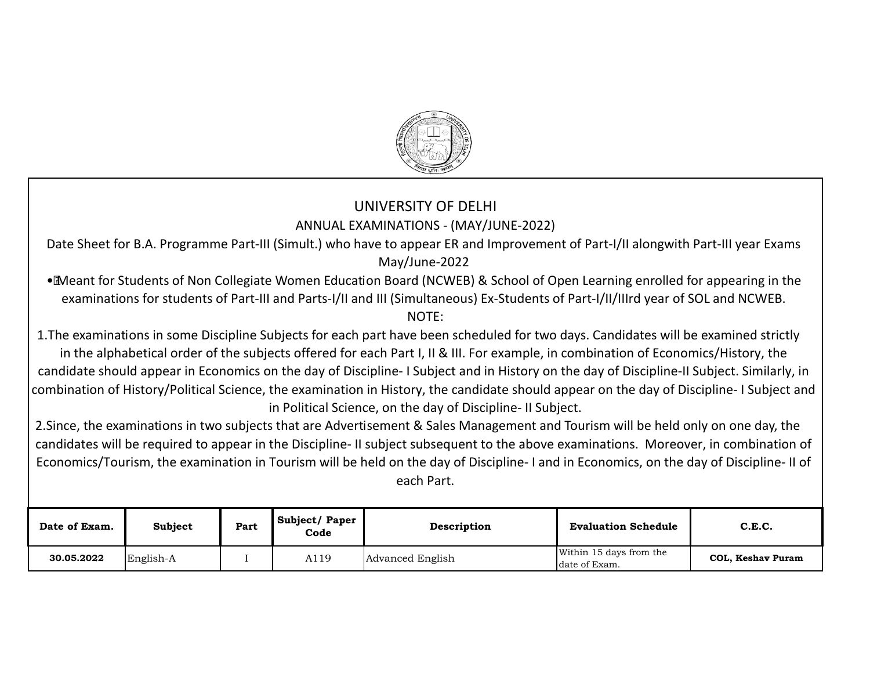

## UNIVERSITY OF DELHI ANNUAL EXAMINATIONS - (MAY/JUNE-2022)

Date Sheet for B.A. Programme Part-III (Simult.) who have to appear ER and Improvement of Part-I/II alongwith Part-III year Exams May/June-2022

· Meant for Students of Non Collegiate Women Education Board (NCWEB) & School of Open Learning enrolled for appearing in the examinations for students of Part-III and Parts-I/II and III (Simultaneous) Ex-Students of Part-I/II/IIIrd year of SOL and NCWEB. NOTE:

1. The examinations in some Discipline Subjects for each part have been scheduled for two days. Candidates will be examined strictly in the alphabetical order of the subjects offered for each Part I, II & III. For example, in combination of Economics/History, the candidate should appear in Economics on the day of Discipline- I Subject and in History on the day of Discipline-II Subject. Similarly, in combination of History/Political Science, the examination in History, the candidate should appear on the day of Discipline- I Subject and in Political Science, on the day of Discipline- II Subject.

2. Since, the examinations in two subjects that are Advertisement & Sales Management and Tourism will be held only on one day, the candidates will be required to appear in the Discipline- II subject subsequent to the above examinations. Moreover, in combination of Economics/Tourism, the examination in Tourism will be held on the day of Discipline- I and in Economics, on the day of Discipline- II of each Part.

| Date of Exam. | Subject   | Part | Subject/Paper<br>Code | Description      | <b>Evaluation Schedule</b>               | C.E.C.            |
|---------------|-----------|------|-----------------------|------------------|------------------------------------------|-------------------|
| 30.05.2022    | English-A |      | A119                  | Advanced English | Within 15 days from the<br>date of Exam. | COL, Keshav Puram |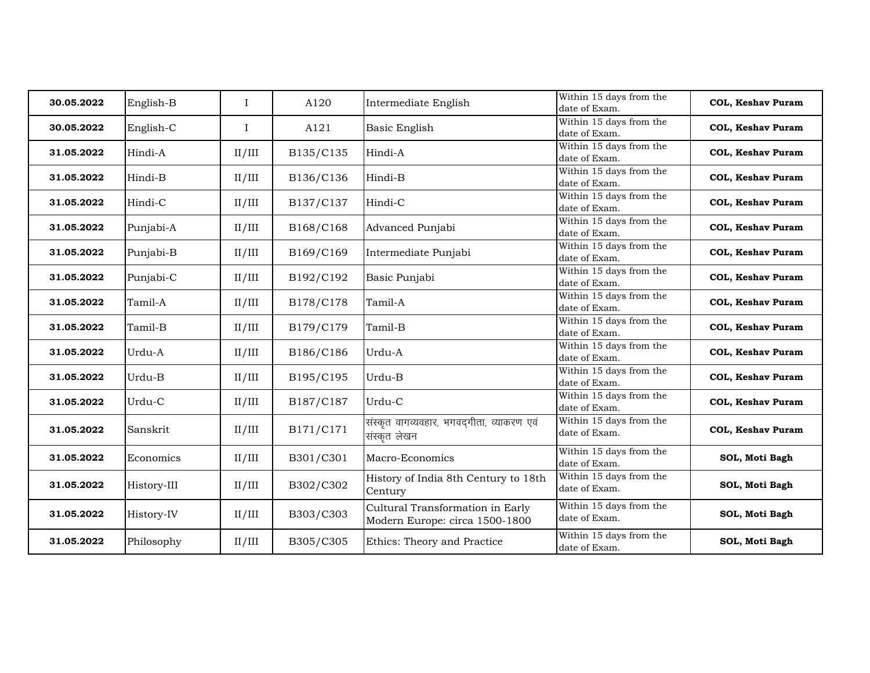| 30.05.2022 | English-B   | $\mathbf I$ | A120      | Intermediate English                                               | Within 15 days from the<br>date of Exam. | <b>COL, Keshav Puram</b> |
|------------|-------------|-------------|-----------|--------------------------------------------------------------------|------------------------------------------|--------------------------|
| 30.05.2022 | English-C   | $\mathbf I$ | A121      | Basic English                                                      | Within 15 days from the<br>date of Exam. | <b>COL, Keshav Puram</b> |
| 31.05.2022 | Hindi-A     | II/III      | B135/C135 | Hindi-A                                                            | Within 15 days from the<br>date of Exam. | <b>COL, Keshav Puram</b> |
| 31.05.2022 | Hindi-B     | II/III      | B136/C136 | Hindi-B                                                            | Within 15 days from the<br>date of Exam. | COL, Keshav Puram        |
| 31.05.2022 | Hindi-C     | II/III      | B137/C137 | Hindi-C                                                            | Within 15 days from the<br>date of Exam. | <b>COL, Keshav Puram</b> |
| 31.05.2022 | Punjabi-A   | II/III      | B168/C168 | Advanced Punjabi                                                   | Within 15 days from the<br>date of Exam. | <b>COL, Keshav Puram</b> |
| 31.05.2022 | Punjabi-B   | II/III      | B169/C169 | Intermediate Punjabi                                               | Within 15 days from the<br>date of Exam. | <b>COL, Keshav Puram</b> |
| 31.05.2022 | Punjabi-C   | II/III      | B192/C192 | Basic Punjabi                                                      | Within 15 days from the<br>date of Exam. | COL, Keshav Puram        |
| 31.05.2022 | Tamil-A     | II/III      | B178/C178 | Tamil-A                                                            | Within 15 days from the<br>date of Exam. | <b>COL, Keshav Puram</b> |
| 31.05.2022 | Tamil-B     | II/III      | B179/C179 | Tamil-B                                                            | Within 15 days from the<br>date of Exam. | <b>COL, Keshav Puram</b> |
| 31.05.2022 | Urdu-A      | II/III      | B186/C186 | Urdu-A                                                             | Within 15 days from the<br>date of Exam. | <b>COL, Keshav Puram</b> |
| 31.05.2022 | Urdu-B      | II/III      | B195/C195 | Urdu-B                                                             | Within 15 days from the<br>date of Exam. | COL, Keshav Puram        |
| 31.05.2022 | Urdu-C      | II/III      | B187/C187 | Urdu-C                                                             | Within 15 days from the<br>date of Exam. | COL, Keshav Puram        |
| 31.05.2022 | Sanskrit    | II/III      | B171/C171 | संस्कृत वागव्यवहार, भगवद्गीता, व्याकरण एवं<br>संस्कृत लेखन         | Within 15 days from the<br>date of Exam. | <b>COL, Keshav Puram</b> |
| 31.05.2022 | Economics   | II/III      | B301/C301 | Macro-Economics                                                    | Within 15 days from the<br>date of Exam. | SOL, Moti Bagh           |
| 31.05.2022 | History-III | II/III      | B302/C302 | History of India 8th Century to 18th<br>Century                    | Within 15 days from the<br>date of Exam. | SOL, Moti Bagh           |
| 31.05.2022 | History-IV  | II/III      | B303/C303 | Cultural Transformation in Early<br>Modern Europe: circa 1500-1800 | Within 15 days from the<br>date of Exam. | SOL, Moti Bagh           |
| 31.05.2022 | Philosophy  | II/III      | B305/C305 | Ethics: Theory and Practice                                        | Within 15 days from the<br>date of Exam. | SOL, Moti Bagh           |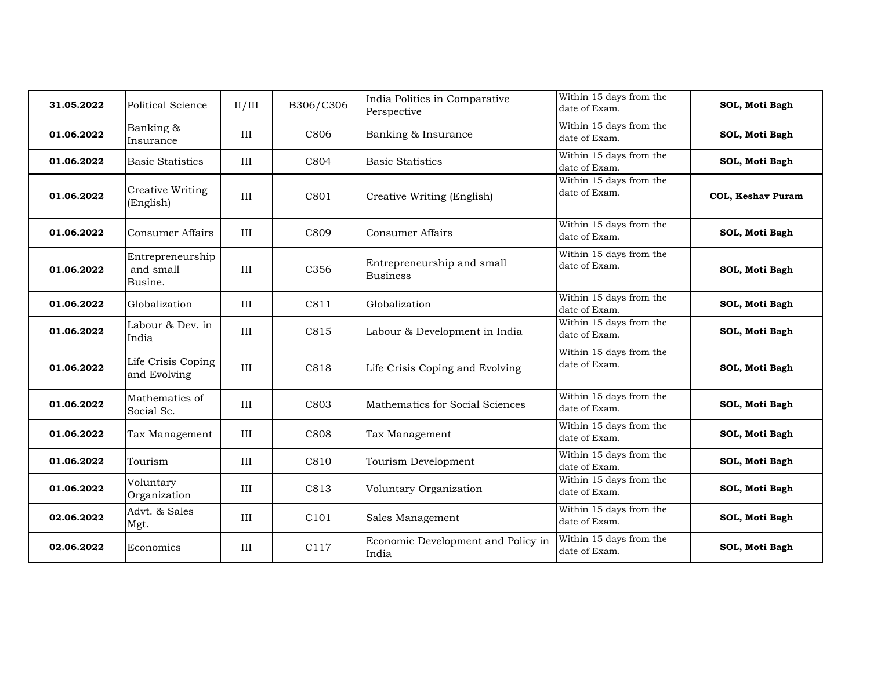| 31.05.2022 | Political Science                        | II/III | B306/C306        | India Politics in Comparative<br>Perspective  | Within 15 days from the<br>date of Exam.   | SOL, Moti Bagh           |
|------------|------------------------------------------|--------|------------------|-----------------------------------------------|--------------------------------------------|--------------------------|
| 01.06.2022 | Banking &<br>Insurance                   | III    | C806             | Banking & Insurance                           | Within 15 days from the<br>date of Exam.   | SOL, Moti Bagh           |
| 01.06.2022 | <b>Basic Statistics</b>                  | III    | C804             | <b>Basic Statistics</b>                       | Within 15 days from the<br>date of Exam.   | SOL, Moti Bagh           |
| 01.06.2022 | <b>Creative Writing</b><br>(English)     | III    | C801             | Creative Writing (English)                    | Within 15 days from the<br>date of Exam.   | <b>COL, Keshav Puram</b> |
| 01.06.2022 | Consumer Affairs                         | III    | C809             | Consumer Affairs                              | Within 15 days from the<br>date of Exam.   | SOL, Moti Bagh           |
| 01.06.2022 | Entrepreneurship<br>and small<br>Busine. | III    | C356             | Entrepreneurship and small<br><b>Business</b> | Within $15$ days from the<br>date of Exam. | SOL, Moti Bagh           |
| 01.06.2022 | Globalization                            | III    | C811             | Globalization                                 | Within 15 days from the<br>date of Exam.   | SOL, Moti Bagh           |
| 01.06.2022 | Labour & Dev. in<br>India                | III    | C815             | Labour & Development in India                 | Within 15 days from the<br>date of Exam.   | SOL, Moti Bagh           |
| 01.06.2022 | Life Crisis Coping<br>and Evolving       | III    | C818             | Life Crisis Coping and Evolving               | Within 15 days from the<br>date of Exam.   | SOL, Moti Bagh           |
| 01.06.2022 | Mathematics of<br>Social Sc.             | III    | C803             | Mathematics for Social Sciences               | Within 15 days from the<br>date of Exam.   | SOL, Moti Bagh           |
| 01.06.2022 | Tax Management                           | III    | C808             | Tax Management                                | Within 15 days from the<br>date of Exam.   | SOL, Moti Bagh           |
| 01.06.2022 | Tourism                                  | III    | C810             | Tourism Development                           | Within 15 days from the<br>date of Exam.   | SOL, Moti Bagh           |
| 01.06.2022 | Voluntary<br>Organization                | III    | C813             | Voluntary Organization                        | Within 15 days from the<br>date of Exam.   | SOL, Moti Bagh           |
| 02.06.2022 | Advt. & Sales<br>Mgt.                    | III    | C <sub>101</sub> | Sales Management                              | Within 15 days from the<br>date of Exam.   | SOL, Moti Bagh           |
| 02.06.2022 | Economics                                | III    | C117             | Economic Development and Policy in<br>India   | Within 15 days from the<br>date of Exam.   | SOL, Moti Bagh           |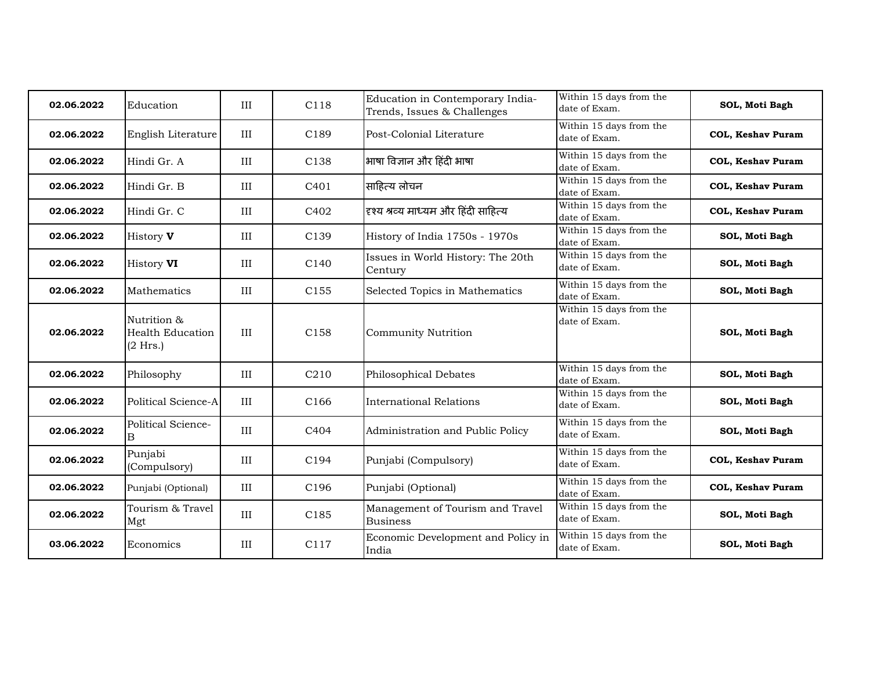| 02.06.2022 | Education                                          | III | C118             | Education in Contemporary India-<br>Trends, Issues & Challenges | Within 15 days from the<br>date of Exam.   | SOL, Moti Bagh           |
|------------|----------------------------------------------------|-----|------------------|-----------------------------------------------------------------|--------------------------------------------|--------------------------|
| 02.06.2022 | English Literature                                 | III | C189             | Post-Colonial Literature                                        | Within 15 days from the<br>date of Exam.   | <b>COL, Keshav Puram</b> |
| 02.06.2022 | Hindi Gr. A                                        | III | C138             | भाषा विज्ञान और हिंदी भाषा                                      | Within 15 days from the<br>date of Exam.   | COL, Keshav Puram        |
| 02.06.2022 | Hindi Gr. B                                        | III | C <sub>401</sub> | साहित्य लोचन                                                    | Within 15 days from the<br>date of Exam.   | COL, Keshav Puram        |
| 02.06.2022 | Hindi Gr. C                                        | III | C402             | दृश्य श्रव्य माध्यम और हिंदी साहित्य                            | Within 15 days from the<br>date of Exam.   | COL, Keshav Puram        |
| 02.06.2022 | History <b>V</b>                                   | III | C139             | History of India 1750s - 1970s                                  | Within 15 days from the<br>date of Exam.   | SOL, Moti Bagh           |
| 02.06.2022 | History VI                                         | III | C <sub>140</sub> | Issues in World History: The 20th<br>Century                    | Within 15 days from the<br>date of Exam.   | SOL, Moti Bagh           |
| 02.06.2022 | Mathematics                                        | III | C <sub>155</sub> | Selected Topics in Mathematics                                  | Within 15 days from the<br>date of Exam.   | SOL, Moti Bagh           |
| 02.06.2022 | Nutrition &<br><b>Health Education</b><br>(2 Hrs.) | III | C158             | <b>Community Nutrition</b>                                      | Within 15 days from the<br>date of Exam.   | SOL, Moti Bagh           |
| 02.06.2022 | Philosophy                                         | III | C <sub>210</sub> | Philosophical Debates                                           | Within 15 days from the<br>date of Exam.   | SOL, Moti Bagh           |
| 02.06.2022 | Political Science-A                                | III | C <sub>166</sub> | International Relations                                         | Within 15 days from the<br>date of Exam.   | SOL, Moti Bagh           |
| 02.06.2022 | Political Science-<br>В                            | III | C404             | Administration and Public Policy                                | Within 15 days from the<br>date of Exam.   | SOL, Moti Bagh           |
| 02.06.2022 | Punjabi<br>(Compulsory)                            | III | C194             | Punjabi (Compulsory)                                            | Within 15 days from the<br>date of Exam.   | COL, Keshav Puram        |
| 02.06.2022 | Punjabi (Optional)                                 | III | C196             | Punjabi (Optional)                                              | Within 15 days from the<br>date of Exam.   | COL, Keshav Puram        |
| 02.06.2022 | Tourism & Travel<br>Mgt                            | III | C185             | Management of Tourism and Travel<br><b>Business</b>             | Within $15$ days from the<br>date of Exam. | SOL, Moti Bagh           |
| 03.06.2022 | Economics                                          | III | C117             | Economic Development and Policy in<br>India                     | Within 15 days from the<br>date of Exam.   | SOL, Moti Bagh           |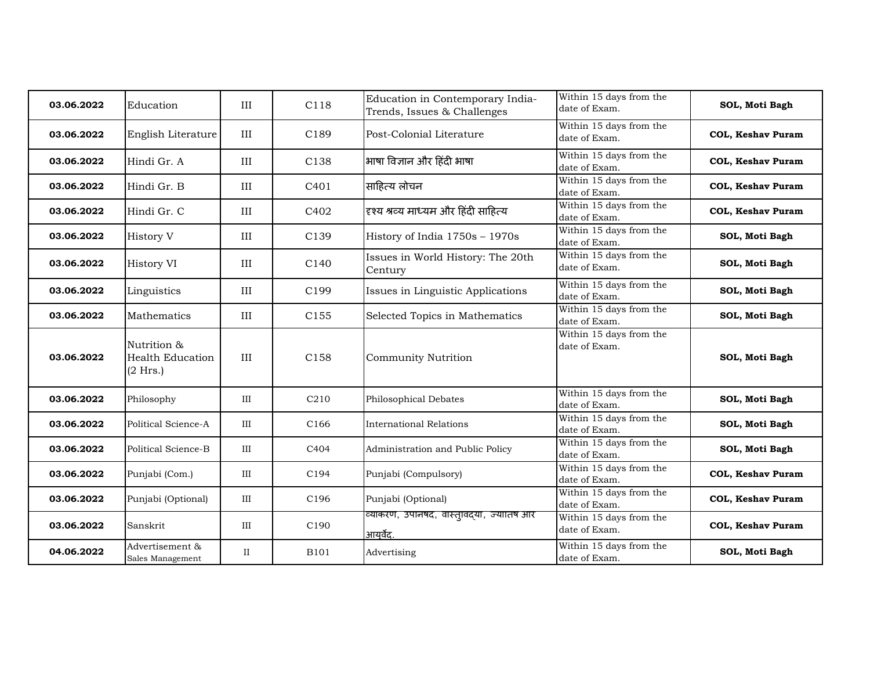| 03.06.2022 | Education                                          | III          | C118             | Education in Contemporary India-<br>Trends, Issues & Challenges | Within 15 days from the<br>date of Exam.   | SOL, Moti Bagh           |
|------------|----------------------------------------------------|--------------|------------------|-----------------------------------------------------------------|--------------------------------------------|--------------------------|
| 03.06.2022 | English Literature                                 | III          | C189             | Post-Colonial Literature                                        | Within 15 days from the<br>date of Exam.   | <b>COL, Keshav Puram</b> |
| 03.06.2022 | Hindi Gr. A                                        | III          | C138             | भाषा विज्ञान और हिंदी भाषा                                      | Within 15 days from the<br>date of Exam.   | COL, Keshav Puram        |
| 03.06.2022 | Hindi Gr. B                                        | III          | C <sub>401</sub> | साहित्य लोचन                                                    | Within 15 days from the<br>date of Exam.   | COL, Keshav Puram        |
| 03.06.2022 | Hindi Gr. C                                        | III          | C402             | दृश्य श्रव्य माध्यम और हिंदी साहित्य                            | Within 15 days from the<br>date of Exam.   | <b>COL, Keshav Puram</b> |
| 03.06.2022 | History V                                          | III          | C139             | History of India 1750s - 1970s                                  | Within 15 days from the<br>date of Exam.   | SOL, Moti Bagh           |
| 03.06.2022 | History VI                                         | III          | C <sub>140</sub> | Issues in World History: The 20th<br>Century                    | Within 15 days from the<br>date of Exam.   | SOL, Moti Bagh           |
| 03.06.2022 | Linguistics                                        | III          | C199             | Issues in Linguistic Applications                               | Within $15$ days from the<br>date of Exam. | SOL, Moti Bagh           |
| 03.06.2022 | Mathematics                                        | III          | C <sub>155</sub> | Selected Topics in Mathematics                                  | Within 15 days from the<br>date of Exam.   | SOL, Moti Bagh           |
| 03.06.2022 | Nutrition &<br><b>Health Education</b><br>(2 Hrs.) | III          | C158             | <b>Community Nutrition</b>                                      | Within 15 days from the<br>date of Exam.   | SOL, Moti Bagh           |
| 03.06.2022 | Philosophy                                         | III          | C <sub>210</sub> | Philosophical Debates                                           | Within 15 days from the<br>date of Exam.   | SOL, Moti Bagh           |
| 03.06.2022 | Political Science-A                                | III          | C166             | International Relations                                         | Within 15 days from the<br>date of Exam.   | SOL, Moti Bagh           |
| 03.06.2022 | Political Science-B                                | III          | C404             | Administration and Public Policy                                | Within 15 days from the<br>date of Exam.   | SOL, Moti Bagh           |
| 03.06.2022 | Punjabi (Com.)                                     | III          | C194             | Punjabi (Compulsory)                                            | Within 15 days from the<br>date of Exam.   | <b>COL, Keshav Puram</b> |
| 03.06.2022 | Punjabi (Optional)                                 | III          | C196             | Punjabi (Optional)                                              | Within 15 days from the<br>date of Exam.   | COL, Keshav Puram        |
| 03.06.2022 | Sanskrit                                           | III          | C190             | व्याकरण, उपानषद, वास्त्।वद्या, ज्यातिष आर<br>आयर्वेद.           | Within 15 days from the<br>date of Exam.   | COL, Keshav Puram        |
| 04.06.2022 | Advertisement &<br>Sales Management                | $\mathbf{I}$ | <b>B101</b>      | Advertising                                                     | Within 15 days from the<br>date of Exam.   | SOL, Moti Bagh           |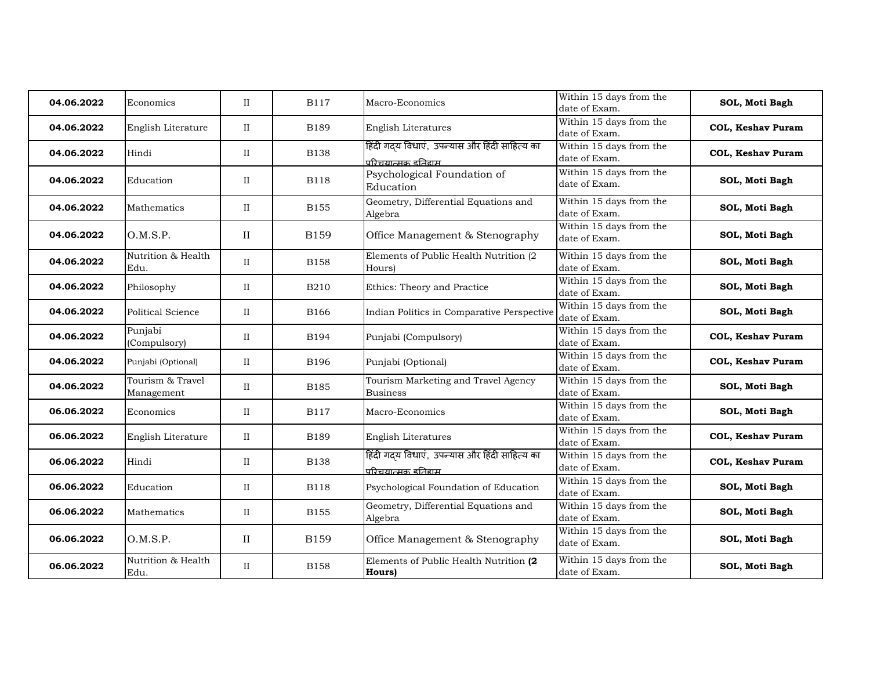| 04.06.2022 | Economics                      | $\rm II$     | <b>B117</b> | Macro-Economics                                                           | Within 15 days from the<br>date of Exam. | SOL, Moti Bagh           |
|------------|--------------------------------|--------------|-------------|---------------------------------------------------------------------------|------------------------------------------|--------------------------|
| 04.06.2022 | English Literature             | $\rm II$     | <b>B189</b> | English Literatures                                                       | Within 15 days from the<br>date of Exam. | COL, Keshav Puram        |
| 04.06.2022 | Hindi                          | $_{\rm II}$  | <b>B138</b> | हिंदी गदय विधाएं,  उपन्यास और हिंदी साहित्य का<br>परिचयात्मक दतिहाम       | Within 15 days from the<br>date of Exam. | COL, Keshav Puram        |
| 04.06.2022 | Education                      | $\mathbf{I}$ | <b>B118</b> | Psychological Foundation of<br>Education                                  | Within 15 days from the<br>date of Exam. | SOL, Moti Bagh           |
| 04.06.2022 | Mathematics                    | $\rm II$     | <b>B155</b> | Geometry, Differential Equations and<br>Algebra                           | Within 15 days from the<br>date of Exam. | SOL, Moti Bagh           |
| 04.06.2022 | O.M.S.P.                       | $\rm II$     | <b>B159</b> | Office Management & Stenography                                           | Within 15 days from the<br>date of Exam. | SOL, Moti Bagh           |
| 04.06.2022 | Nutrition & Health<br>Edu.     | $\mathbf{I}$ | <b>B158</b> | Elements of Public Health Nutrition (2<br>Hours)                          | Within 15 days from the<br>date of Exam. | SOL, Moti Bagh           |
| 04.06.2022 | Philosophy                     | $\rm II$     | <b>B210</b> | Ethics: Theory and Practice                                               | Within 15 days from the<br>date of Exam. | SOL, Moti Bagh           |
| 04.06.2022 | <b>Political Science</b>       | $\rm II$     | B166        | Indian Politics in Comparative Perspective                                | Within 15 days from the<br>date of Exam. | SOL, Moti Bagh           |
| 04.06.2022 | Punjabi<br>(Compulsory)        | $_{\rm II}$  | B194        | Punjabi (Compulsory)                                                      | Within 15 days from the<br>date of Exam. | <b>COL, Keshav Puram</b> |
| 04.06.2022 | Punjabi (Optional)             | $_{\rm II}$  | <b>B196</b> | Punjabi (Optional)                                                        | Within 15 days from the<br>date of Exam. | COL, Keshav Puram        |
| 04.06.2022 | Tourism & Travel<br>Management | $\mathbf{I}$ | <b>B185</b> | Tourism Marketing and Travel Agency<br><b>Business</b>                    | Within 15 days from the<br>date of Exam. | SOL, Moti Bagh           |
| 06.06.2022 | Economics                      | $\rm II$     | <b>B117</b> | Macro-Economics                                                           | Within 15 days from the<br>date of Exam. | SOL, Moti Bagh           |
| 06.06.2022 | English Literature             | $\rm II$     | <b>B189</b> | English Literatures                                                       | Within 15 days from the<br>date of Exam. | <b>COL, Keshav Puram</b> |
| 06.06.2022 | Hindi                          | $\rm II$     | <b>B138</b> | हिंदी गदय विधाएं, उपन्यास और हिंदी साहित्य का<br><u>परिचयात्मक दतिदाम</u> | Within 15 days from the<br>date of Exam. | <b>COL, Keshav Puram</b> |
| 06.06.2022 | Education                      | $_{\rm II}$  | <b>B118</b> | Psychological Foundation of Education                                     | Within 15 days from the<br>date of Exam. | SOL, Moti Bagh           |
| 06.06.2022 | Mathematics                    | $\rm II$     | <b>B155</b> | Geometry, Differential Equations and<br>Algebra                           | Within 15 days from the<br>date of Exam. | SOL, Moti Bagh           |
| 06.06.2022 | O.M.S.P.                       | $\rm II$     | <b>B159</b> | Office Management & Stenography                                           | Within 15 days from the<br>date of Exam. | SOL, Moti Bagh           |
| 06.06.2022 | Nutrition & Health<br>Edu.     | $_{\rm II}$  | <b>B158</b> | Elements of Public Health Nutrition (2<br>Hours)                          | Within 15 days from the<br>date of Exam. | SOL, Moti Bagh           |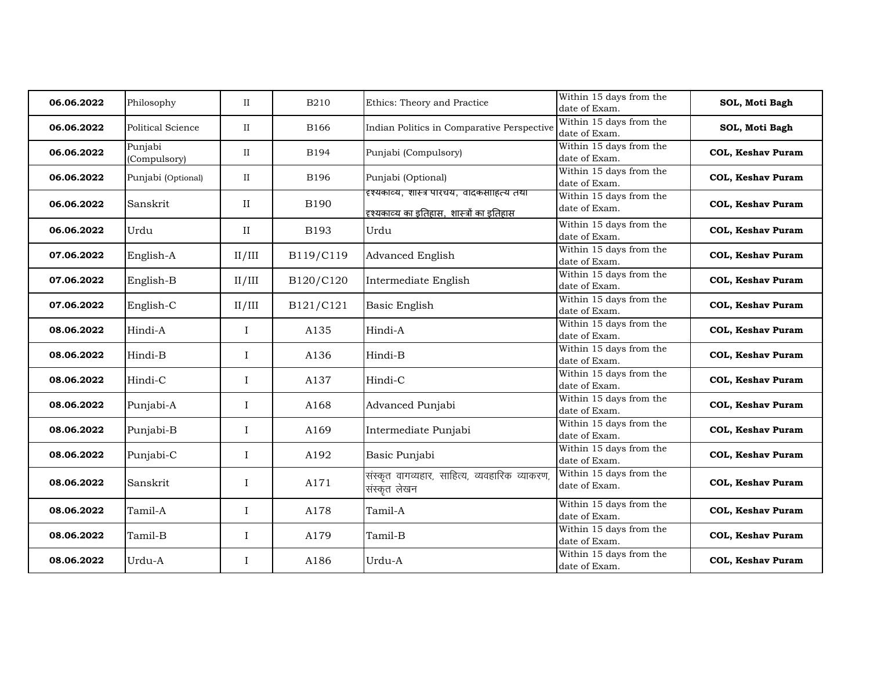| 06.06.2022 | Philosophy              | $_{\rm II}$  | <b>B210</b> | Ethics: Theory and Practice                                                             | Within 15 days from the<br>date of Exam.   | SOL, Moti Bagh           |
|------------|-------------------------|--------------|-------------|-----------------------------------------------------------------------------------------|--------------------------------------------|--------------------------|
| 06.06.2022 | Political Science       | $\rm II$     | <b>B166</b> | Indian Politics in Comparative Perspective                                              | Within 15 days from the<br>date of Exam.   | SOL, Moti Bagh           |
| 06.06.2022 | Punjabi<br>(Compulsory) | $\rm II$     | B194        | Punjabi (Compulsory)                                                                    | Within 15 days from the<br>date of Exam.   | <b>COL, Keshav Puram</b> |
| 06.06.2022 | Punjabi (Optional)      | $\mathbf{I}$ | B196        | Punjabi (Optional)                                                                      | Within 15 days from the<br>date of Exam.   | <b>COL, Keshav Puram</b> |
| 06.06.2022 | Sanskrit                | $\rm II$     | <b>B190</b> | दृश्यकाव्य, शास्त्र पारचय, वादकसाहित्य तथा<br>दृश्यकाव्य का इतिहास, शास्त्रों का इतिहास | Within 15 days from the<br>date of Exam.   | <b>COL, Keshav Puram</b> |
| 06.06.2022 | Urdu                    | $\rm II$     | B193        | Urdu                                                                                    | Within 15 days from the<br>date of Exam.   | <b>COL, Keshav Puram</b> |
| 07.06.2022 | English-A               | II/III       | B119/C119   | <b>Advanced English</b>                                                                 | Within 15 days from the<br>date of Exam.   | <b>COL, Keshav Puram</b> |
| 07.06.2022 | English-B               | II/III       | B120/C120   | Intermediate English                                                                    | Within 15 days from the<br>date of Exam.   | <b>COL, Keshav Puram</b> |
| 07.06.2022 | English-C               | II/III       | B121/C121   | Basic English                                                                           | Within 15 days from the<br>date of Exam.   | <b>COL, Keshav Puram</b> |
| 08.06.2022 | Hindi-A                 | $\mathbf I$  | A135        | Hindi-A                                                                                 | Within 15 days from the<br>date of Exam.   | <b>COL, Keshav Puram</b> |
| 08.06.2022 | Hindi-B                 | $\bf{I}$     | A136        | Hindi-B                                                                                 | Within 15 days from the<br>date of Exam.   | <b>COL, Keshav Puram</b> |
| 08.06.2022 | Hindi-C                 | $\bf{I}$     | A137        | Hindi-C                                                                                 | Within 15 days from the<br>date of Exam.   | <b>COL, Keshav Puram</b> |
| 08.06.2022 | Punjabi-A               | $\bf{I}$     | A168        | Advanced Punjabi                                                                        | Within $15$ days from the<br>date of Exam. | <b>COL, Keshav Puram</b> |
| 08.06.2022 | Punjabi-B               | $\mathbf I$  | A169        | Intermediate Punjabi                                                                    | Within 15 days from the<br>date of Exam.   | <b>COL, Keshav Puram</b> |
| 08.06.2022 | Punjabi-C               | $\bf{I}$     | A192        | Basic Punjabi                                                                           | Within 15 days from the<br>date of Exam.   | <b>COL, Keshav Puram</b> |
| 08.06.2022 | Sanskrit                | $\bf{I}$     | A171        | संस्कृत वागव्यहार, साहित्य, व्यवहारिक व्याकरण<br>संस्कृत लेखन                           | Within 15 days from the<br>date of Exam.   | <b>COL, Keshav Puram</b> |
| 08.06.2022 | Tamil-A                 | $\mathbf I$  | A178        | Tamil-A                                                                                 | Within 15 days from the<br>date of Exam.   | <b>COL, Keshav Puram</b> |
| 08.06.2022 | Tamil-B                 | $\mathbf I$  | A179        | Tamil-B                                                                                 | Within 15 days from the<br>date of Exam.   | <b>COL, Keshav Puram</b> |
| 08.06.2022 | Urdu-A                  | $\bf{I}$     | A186        | Urdu-A                                                                                  | Within 15 days from the<br>date of Exam.   | <b>COL, Keshav Puram</b> |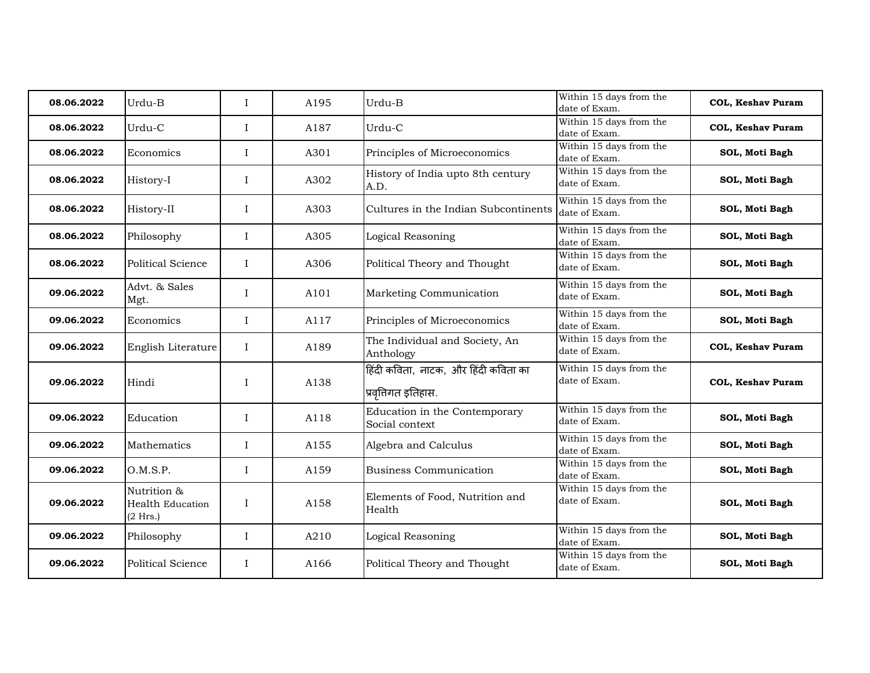| 08.06.2022 | Urdu-B                                             | $\mathbf I$ | A195 | Urdu-B                                                      | Within 15 days from the<br>date of Exam. | <b>COL, Keshav Puram</b> |
|------------|----------------------------------------------------|-------------|------|-------------------------------------------------------------|------------------------------------------|--------------------------|
| 08.06.2022 | Urdu-C                                             | $\bf{I}$    | A187 | Urdu-C                                                      | Within 15 days from the<br>date of Exam. | <b>COL, Keshav Puram</b> |
| 08.06.2022 | Economics                                          | I           | A301 | Principles of Microeconomics                                | Within 15 days from the<br>date of Exam. | SOL, Moti Bagh           |
| 08.06.2022 | History-I                                          | $\mathbf I$ | A302 | History of India upto 8th century<br>A.D.                   | Within 15 days from the<br>date of Exam. | SOL, Moti Bagh           |
| 08.06.2022 | History-II                                         | I           | A303 | Cultures in the Indian Subcontinents                        | Within 15 days from the<br>date of Exam. | SOL, Moti Bagh           |
| 08.06.2022 | Philosophy                                         | I           | A305 | Logical Reasoning                                           | Within 15 days from the<br>date of Exam. | SOL, Moti Bagh           |
| 08.06.2022 | Political Science                                  | $\mathbf I$ | A306 | Political Theory and Thought                                | Within 15 days from the<br>date of Exam. | SOL, Moti Bagh           |
| 09.06.2022 | Advt. & Sales<br>Mgt.                              | $\bf{I}$    | A101 | Marketing Communication                                     | Within 15 days from the<br>date of Exam. | SOL, Moti Bagh           |
| 09.06.2022 | Economics                                          | I           | A117 | Principles of Microeconomics                                | Within 15 days from the<br>date of Exam. | SOL, Moti Bagh           |
| 09.06.2022 | English Literature                                 | $\bf{I}$    | A189 | The Individual and Society, An<br>Anthology                 | Within 15 days from the<br>date of Exam. | <b>COL, Keshav Puram</b> |
| 09.06.2022 | Hindi                                              | $\mathbf I$ | A138 | हिंदी कविता, नाटक, और हिंदी कविता का<br>प्रवृत्तिगत इतिहास. | Within 15 days from the<br>date of Exam. | <b>COL, Keshav Puram</b> |
| 09.06.2022 | Education                                          | $\mathbf I$ | A118 | Education in the Contemporary<br>Social context             | Within 15 days from the<br>date of Exam. | SOL, Moti Bagh           |
| 09.06.2022 | Mathematics                                        | $\mathbf I$ | A155 | Algebra and Calculus                                        | Within 15 days from the<br>date of Exam. | SOL, Moti Bagh           |
| 09.06.2022 | O.M.S.P.                                           | I           | A159 | <b>Business Communication</b>                               | Within 15 days from the<br>date of Exam. | SOL, Moti Bagh           |
| 09.06.2022 | Nutrition &<br><b>Health Education</b><br>(2 Hrs.) | I           | A158 | Elements of Food, Nutrition and<br>Health                   | Within 15 days from the<br>date of Exam. | SOL, Moti Bagh           |
| 09.06.2022 | Philosophy                                         | I           | A210 | Logical Reasoning                                           | Within 15 days from the<br>date of Exam. | SOL, Moti Bagh           |
| 09.06.2022 | Political Science                                  | I           | A166 | Political Theory and Thought                                | Within 15 days from the<br>date of Exam. | SOL, Moti Bagh           |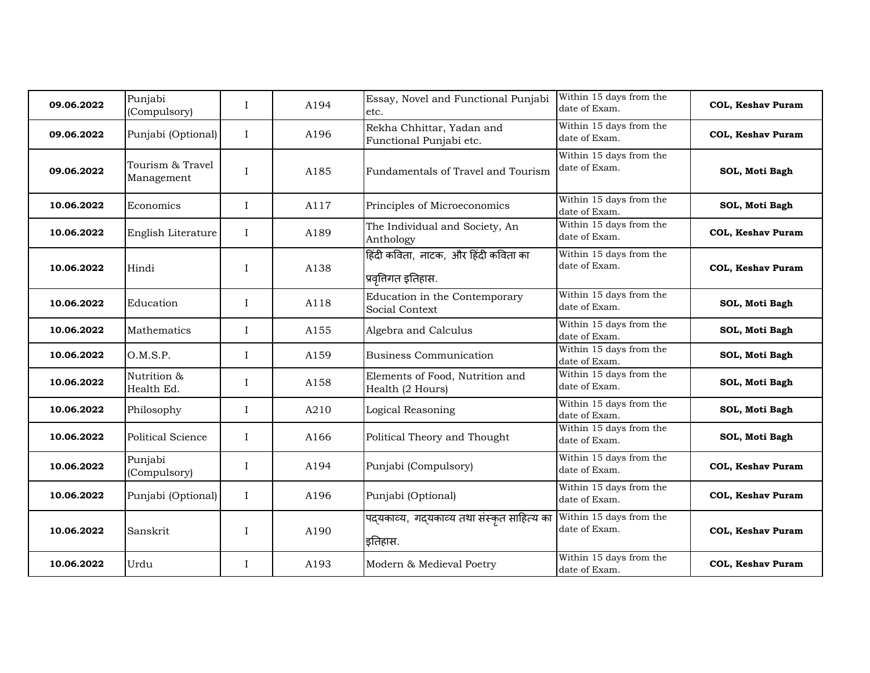| 09.06.2022 | Punjabi<br>(Compulsory)        | $\mathbf I$  | A194 | Essay, Novel and Functional Punjabi<br>etc.               | Within 15 days from the<br>date of Exam. | <b>COL, Keshav Puram</b> |
|------------|--------------------------------|--------------|------|-----------------------------------------------------------|------------------------------------------|--------------------------|
| 09.06.2022 | Punjabi (Optional)             | $\bf{I}$     | A196 | Rekha Chhittar, Yadan and<br>Functional Punjabi etc.      | Within 15 days from the<br>date of Exam. | <b>COL, Keshav Puram</b> |
| 09.06.2022 | Tourism & Travel<br>Management | I            | A185 | Fundamentals of Travel and Tourism                        | Within 15 days from the<br>date of Exam. | SOL, Moti Bagh           |
| 10.06.2022 | Economics                      | $\mathbf I$  | A117 | Principles of Microeconomics                              | Within 15 days from the<br>date of Exam. | SOL, Moti Bagh           |
| 10.06.2022 | English Literature             | $\bf{I}$     | A189 | The Individual and Society, An<br>Anthology               | Within 15 days from the<br>date of Exam. | <b>COL, Keshav Puram</b> |
| 10.06.2022 | Hindi                          | $\mathbf{I}$ | A138 | हिंदी कविता, नाटक, और हिंदी कविता का<br>प्रवृतिगत इतिहास. | Within 15 days from the<br>date of Exam. | <b>COL, Keshav Puram</b> |
| 10.06.2022 | Education                      | $\mathbf I$  | A118 | Education in the Contemporary<br>Social Context           | Within 15 days from the<br>date of Exam. | SOL, Moti Bagh           |
| 10.06.2022 | <b>Mathematics</b>             | $\mathbf I$  | A155 | Algebra and Calculus                                      | Within 15 days from the<br>date of Exam. | SOL, Moti Bagh           |
| 10.06.2022 | O.M.S.P.                       | I            | A159 | <b>Business Communication</b>                             | Within 15 days from the<br>date of Exam. | SOL, Moti Bagh           |
| 10.06.2022 | Nutrition &<br>Health Ed.      | $\mathbf I$  | A158 | Elements of Food, Nutrition and<br>Health (2 Hours)       | Within 15 days from the<br>date of Exam. | SOL, Moti Bagh           |
| 10.06.2022 | Philosophy                     | $\bf{I}$     | A210 | Logical Reasoning                                         | Within 15 days from the<br>date of Exam. | SOL, Moti Bagh           |
| 10.06.2022 | Political Science              | I            | A166 | Political Theory and Thought                              | Within 15 days from the<br>date of Exam. | SOL, Moti Bagh           |
| 10.06.2022 | Punjabi<br>(Compulsory)        | I            | A194 | Punjabi (Compulsory)                                      | Within 15 days from the<br>date of Exam. | <b>COL, Keshav Puram</b> |
| 10.06.2022 | Punjabi (Optional)             | I            | A196 | Punjabi (Optional)                                        | Within 15 days from the<br>date of Exam. | <b>COL, Keshav Puram</b> |
| 10.06.2022 | Sanskrit                       | $\mathbf I$  | A190 | पदयकाव्य, गदयकाव्य तथा संस्कृत साहित्य का<br>इतिहास.      | Within 15 days from the<br>date of Exam. | COL, Keshav Puram        |
| 10.06.2022 | Urdu                           | I            | A193 | Modern & Medieval Poetry                                  | Within 15 days from the<br>date of Exam. | <b>COL, Keshav Puram</b> |